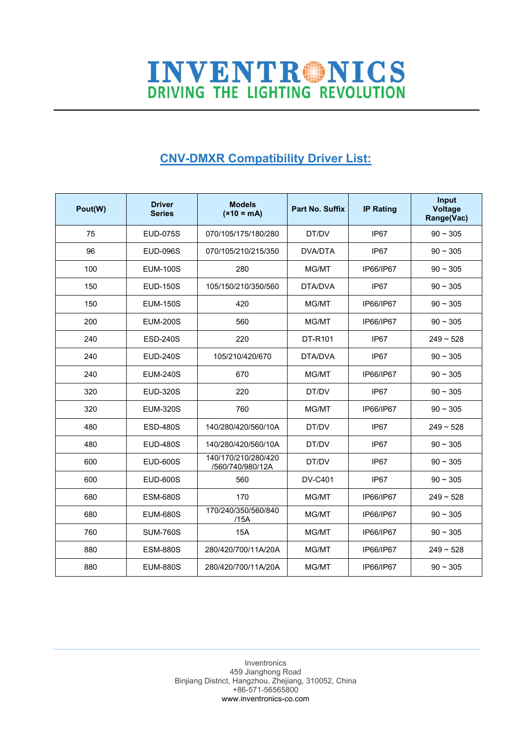## **INVENTRONICS**<br>DRIVING THE LIGHTING REVOLUTION

## **CNV-DMXR Compatibility Driver List:**

| Pout(W) | <b>Driver</b><br><b>Series</b> | <b>Models</b><br>$(x10 = mA)$           | <b>Part No. Suffix</b> | <b>IP Rating</b> | Input<br><b>Voltage</b><br>Range(Vac) |
|---------|--------------------------------|-----------------------------------------|------------------------|------------------|---------------------------------------|
| 75      | <b>EUD-075S</b>                | 070/105/175/180/280                     | DT/DV                  | IP67             | $90 \sim 305$                         |
| 96      | <b>EUD-096S</b>                | 070/105/210/215/350                     | <b>DVA/DTA</b>         | IP67             | $90 \sim 305$                         |
| 100     | <b>EUM-100S</b>                | 280                                     | MG/MT                  | IP66/IP67        | $90 \sim 305$                         |
| 150     | <b>EUD-150S</b>                | 105/150/210/350/560                     | DTA/DVA                | IP67             | $90 - 305$                            |
| 150     | <b>EUM-150S</b>                | 420                                     | MG/MT                  | IP66/IP67        | $90 - 305$                            |
| 200     | <b>EUM-200S</b>                | 560                                     | MG/MT                  | IP66/IP67        | $90 - 305$                            |
| 240     | <b>ESD-240S</b>                | 220                                     | DT-R101                | IP67             | $249 - 528$                           |
| 240     | <b>EUD-240S</b>                | 105/210/420/670                         | DTA/DVA                | IP67             | $90 - 305$                            |
| 240     | <b>EUM-240S</b>                | 670                                     | MG/MT                  | IP66/IP67        | $90 - 305$                            |
| 320     | <b>EUD-320S</b>                | 220                                     | DT/DV                  | IP <sub>67</sub> | $90 - 305$                            |
| 320     | <b>EUM-320S</b>                | 760                                     | MG/MT                  | IP66/IP67        | $90 - 305$                            |
| 480     | <b>ESD-480S</b>                | 140/280/420/560/10A                     | DT/DV                  | IP <sub>67</sub> | $249 - 528$                           |
| 480     | <b>EUD-480S</b>                | 140/280/420/560/10A                     | DT/DV                  | IP67             | $90 - 305$                            |
| 600     | EUD-600S                       | 140/170/210/280/420<br>/560/740/980/12A | DT/DV                  | IP67             | $90 - 305$                            |
| 600     | <b>EUD-600S</b>                | 560                                     | <b>DV-C401</b>         | IP <sub>67</sub> | $90 - 305$                            |
| 680     | <b>ESM-680S</b>                | 170                                     | MG/MT                  | IP66/IP67        | $249 - 528$                           |
| 680     | <b>EUM-680S</b>                | 170/240/350/560/840<br>/15A             | MG/MT                  | IP66/IP67        | $90 - 305$                            |
| 760     | <b>SUM-760S</b>                | 15A                                     | MG/MT                  | IP66/IP67        | $90 \sim 305$                         |
| 880     | <b>ESM-880S</b>                | 280/420/700/11A/20A                     | MG/MT                  | IP66/IP67        | $249 - 528$                           |
| 880     | <b>EUM-880S</b>                | 280/420/700/11A/20A                     | MG/MT                  | IP66/IP67        | $90 - 305$                            |